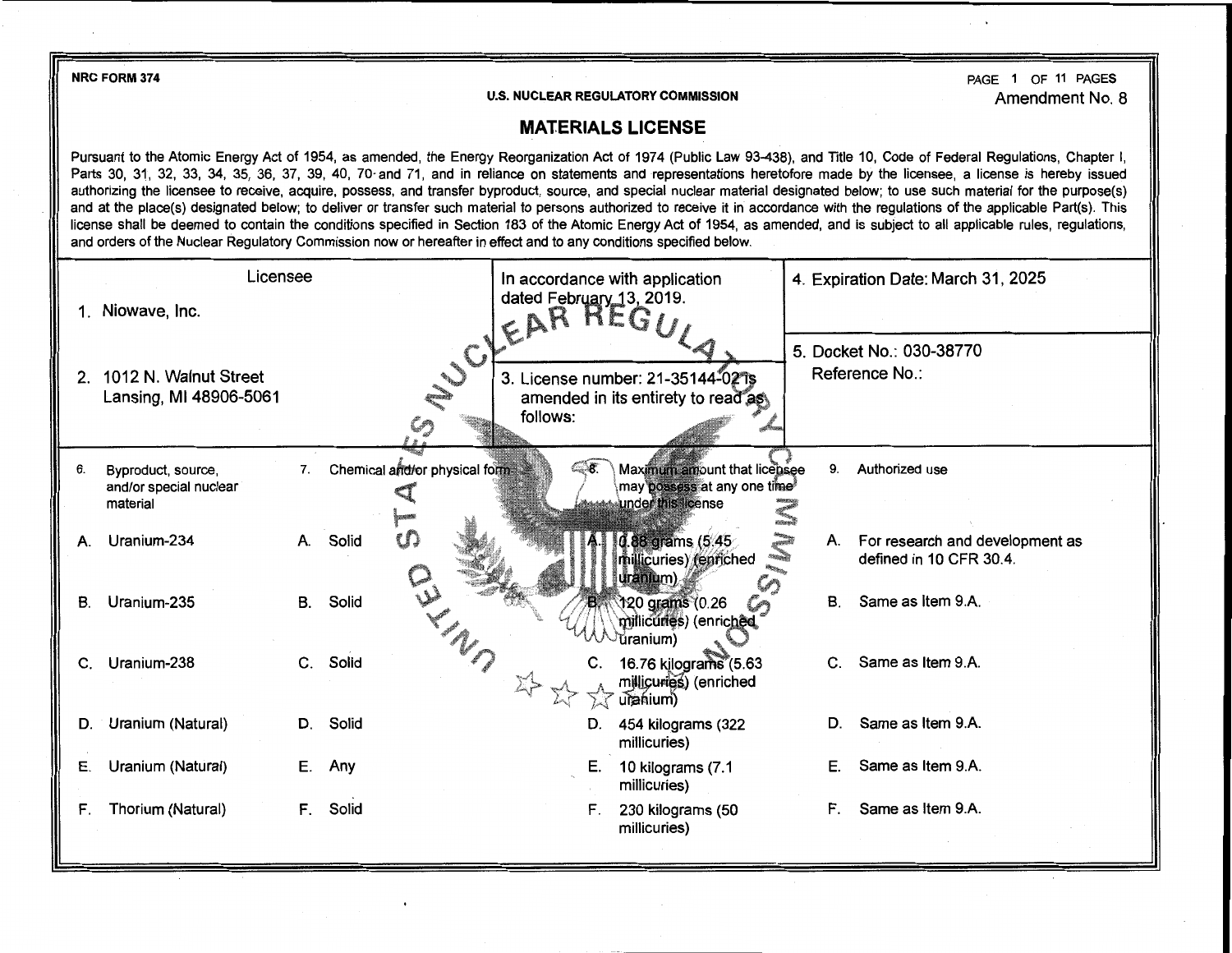NRC FORM 374

**U.S. NUCLEAR REGULATORY COMMISSION** 

PAGE 1 OF 11 PAGES Amendment No. 8

## **MATERIALS LICENSE**

Pursuant to the Atomic Energy Act of 1954, as amended, the Energy Reorganization Act of 1974 (Public Law 93-438), and Title 10, Code of Federal Regulations, Chapter I, Parts 30, 31, 32, 33, 34, 35, 36, 37, 39, 40, 70 and 71, and in reliance on statements and representations heretofore made by the licensee, a license is hereby issued authorizing the licensee to receive, acquire, possess, and transfer byproduct, source, and special nuclear material designated below; to use such material for the purpose(s) and at the place(s) designated below; to deliver or transfer such material to persons authorized to receive it in accordance with the regulations of the applicable Part(s). This license shall be deemed to contain the conditions specified in Section 183 of the Atomic Energy Act of 1954, as amended, and is subject to all applicable rules, regulations, and orders of the Nuclear Regulatory Commission now or hereafter in effect and to any conditions specified below.

|             | Licensee                                                 |           |                                | In accordance with application                                                           |              | 4. Expiration Date: March 31, 2025                         |
|-------------|----------------------------------------------------------|-----------|--------------------------------|------------------------------------------------------------------------------------------|--------------|------------------------------------------------------------|
|             | Niowave, Inc.                                            |           |                                | dated February 13, 2019.<br>EAR REGI                                                     |              |                                                            |
|             | 2. 1012 N. Walnut Street<br>Lansing, MI 48906-5061       |           | SUCIT.                         | 3. License number: 21-35144-02 1s<br>amended in its entirety to read as<br>follows:      |              | 5. Docket No.: 030-38770<br>Reference No.:                 |
|             |                                                          |           |                                |                                                                                          |              |                                                            |
| 6.          | Byproduct, source,<br>and/or special nuclear<br>material | 7.        | Chemical arid/or physical form | ි ෙ<br>Maximum amount that licensee<br>may possess at any one time<br>under this license | 9.           | Authorized use                                             |
| А.          | Uranium-234                                              |           | ഗ<br>A. Solid                  | 0.88 grams (5.45<br>millicuries) (enriched<br>uranium)                                   | A.           | For research and development as<br>defined in 10 CFR 30.4. |
| В.          | Uranium-235                                              | <b>B.</b> | Solid                          | 120 grams (0.26<br>millicuries) (enriched<br>ŭranium)                                    | В.           | Same as Item 9.A.                                          |
| $C_{\cdot}$ | Uranium-238                                              | C.        | Solid                          | 16.76 kilograms (5.63<br>millicuries) (enriched<br>uranium)                              | $\mathbf{C}$ | Same as Item 9.A.                                          |
| D.          | Uranium (Natural)                                        |           | D. Solid                       | 454 kilograms (322<br>D.<br>millicuries)                                                 | D.           | Same as Item 9.A.                                          |
| Е.          | Uranium (Natural)                                        | Е.        | Any                            | Е.<br>10 kilograms (7.1<br>millicuries)                                                  | Е.           | Same as Item 9.A.                                          |
| F.          | Thorium (Natural)                                        | F.        | Solid                          | F.<br>230 kilograms (50<br>millicuries)                                                  | F.           | Same as Item 9.A.                                          |
|             |                                                          |           |                                |                                                                                          |              |                                                            |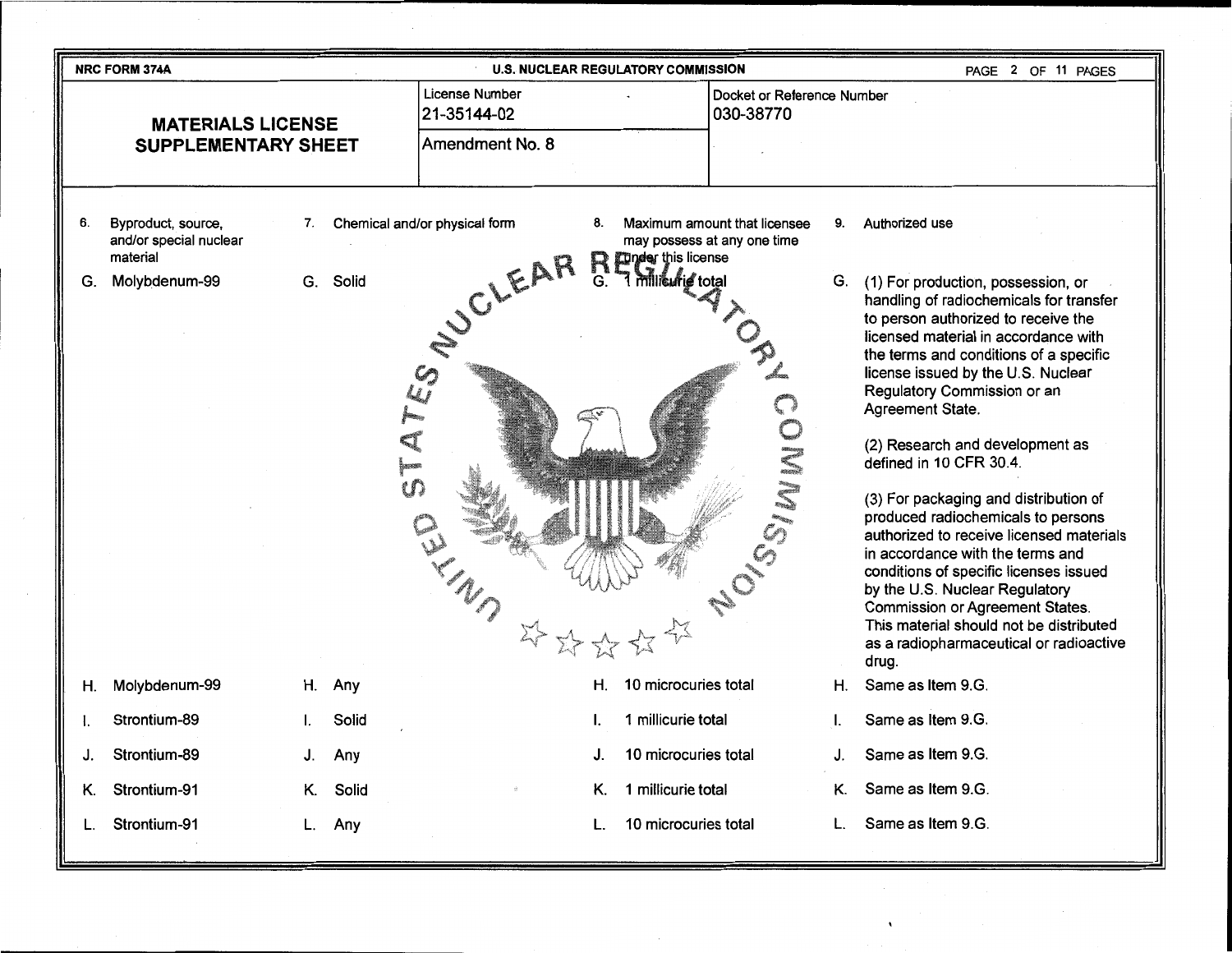|    | <b>NRC FORM 374A</b>                                     |             |                                                | <b>U.S. NUCLEAR REGULATORY COMMISSION</b>                                                               |    | PAGE 2 OF 11 PAGES                                                                                                                                                                                                                                                                                                                                                                                                                                                                                                                                                                                                                                                                                                                                |
|----|----------------------------------------------------------|-------------|------------------------------------------------|---------------------------------------------------------------------------------------------------------|----|---------------------------------------------------------------------------------------------------------------------------------------------------------------------------------------------------------------------------------------------------------------------------------------------------------------------------------------------------------------------------------------------------------------------------------------------------------------------------------------------------------------------------------------------------------------------------------------------------------------------------------------------------------------------------------------------------------------------------------------------------|
|    | <b>MATERIALS LICENSE</b><br><b>SUPPLEMENTARY SHEET</b>   |             | License Number<br>21-35144-02                  | Docket or Reference Number<br>030-38770                                                                 |    |                                                                                                                                                                                                                                                                                                                                                                                                                                                                                                                                                                                                                                                                                                                                                   |
|    |                                                          |             | Amendment No. 8                                |                                                                                                         |    |                                                                                                                                                                                                                                                                                                                                                                                                                                                                                                                                                                                                                                                                                                                                                   |
| 6. | Byproduct, source,<br>and/or special nuclear<br>material | 7.          | Chemical and/or physical form<br>8.<br>$R_{s}$ | Maximum amount that licensee<br>may possess at any one time<br>Tunder this license<br>1 militurie total | 9. | Authorized use                                                                                                                                                                                                                                                                                                                                                                                                                                                                                                                                                                                                                                                                                                                                    |
| G. | Molybdenum-99                                            | Solid<br>G. | SUCLEAR<br>$\mathcal{C}_2$<br>$\omega$<br>tD   | SSIDIN                                                                                                  | G. | (1) For production, possession, or<br>handling of radiochemicals for transfer<br>to person authorized to receive the<br>licensed material in accordance with<br>the terms and conditions of a specific<br>license issued by the U.S. Nuclear<br>Regulatory Commission or an<br>Agreement State.<br>(2) Research and development as<br>defined in 10 CFR 30.4.<br>(3) For packaging and distribution of<br>produced radiochemicals to persons<br>authorized to receive licensed materials<br>in accordance with the terms and<br>conditions of specific licenses issued<br>by the U.S. Nuclear Regulatory<br><b>Commission or Agreement States.</b><br>This material should not be distributed<br>as a radiopharmaceutical or radioactive<br>drug. |
| Н. | Molybdenum-99                                            | H. Any      | Η.                                             | 10 microcuries total                                                                                    | Η. | Same as Item 9.G.                                                                                                                                                                                                                                                                                                                                                                                                                                                                                                                                                                                                                                                                                                                                 |
|    | Strontium-89                                             | Solid       |                                                | 1 millicurie total                                                                                      | I. | Same as Item 9.G.                                                                                                                                                                                                                                                                                                                                                                                                                                                                                                                                                                                                                                                                                                                                 |
| J. | Strontium-89                                             | J. Any      |                                                | 10 microcuries total                                                                                    | J. | Same as Item 9.G.                                                                                                                                                                                                                                                                                                                                                                                                                                                                                                                                                                                                                                                                                                                                 |
| Κ. | Strontium-91                                             | Solid<br>Κ. | Κ.                                             | 1 millicurie total                                                                                      | Κ. | Same as Item 9.G.                                                                                                                                                                                                                                                                                                                                                                                                                                                                                                                                                                                                                                                                                                                                 |
|    | Strontium-91                                             | L. Any      | L.                                             | 10 microcuries total                                                                                    | L. | Same as Item 9.G.                                                                                                                                                                                                                                                                                                                                                                                                                                                                                                                                                                                                                                                                                                                                 |

 $\mathcal{N}$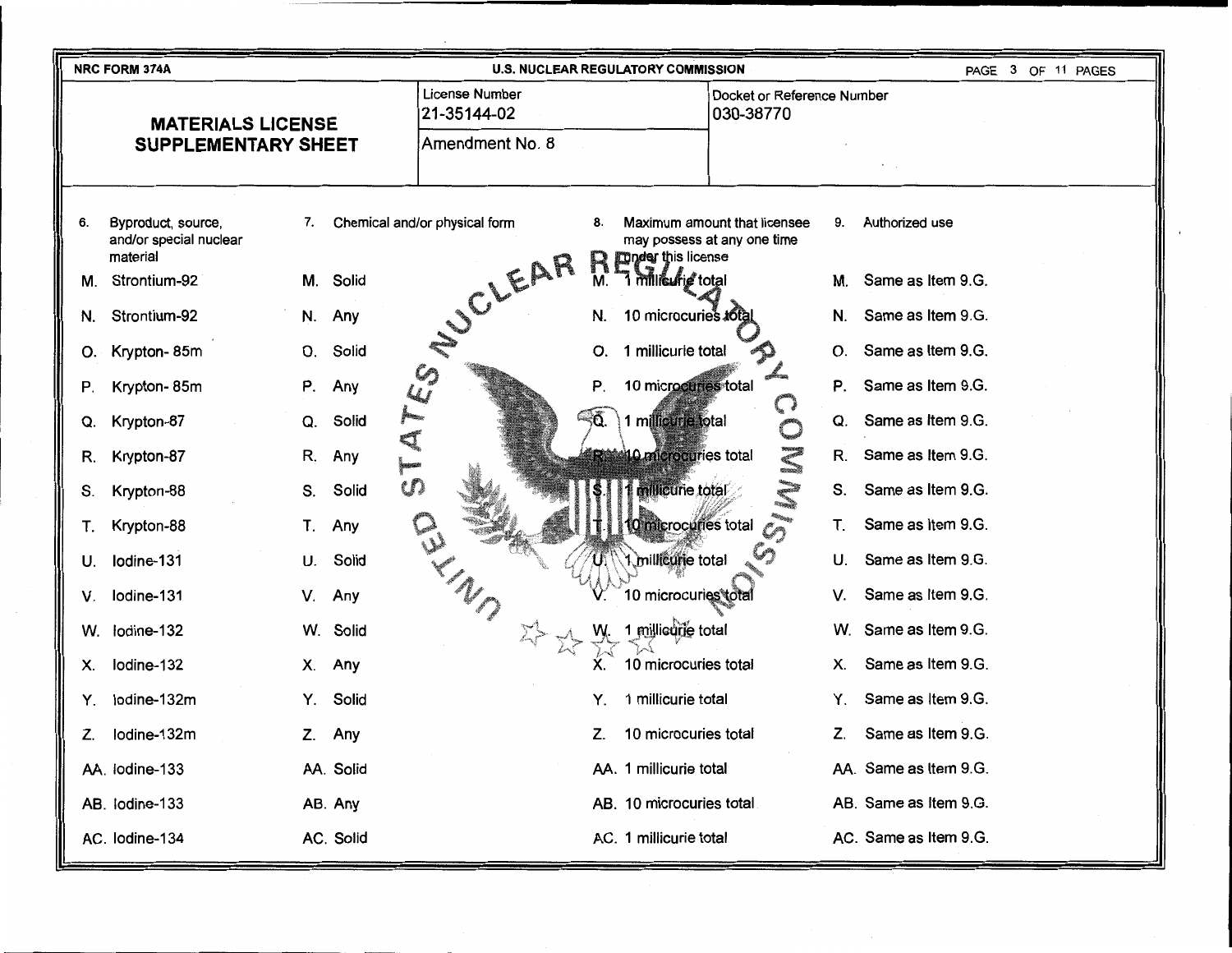|                                                        | <b>NRC FORM 374A</b>                                     |             |                               | <b>U.S. NUCLEAR REGULATORY COMMISSION</b> |                                                                   | PAGE 3 OF 11 PAGES    |
|--------------------------------------------------------|----------------------------------------------------------|-------------|-------------------------------|-------------------------------------------|-------------------------------------------------------------------|-----------------------|
| <b>MATERIALS LICENSE</b><br><b>SUPPLEMENTARY SHEET</b> |                                                          |             | License Number<br>21-35144-02 |                                           | Docket or Reference Number<br>030-38770                           |                       |
|                                                        |                                                          |             | Amendment No. 8               |                                           |                                                                   |                       |
| 6.                                                     | Byproduct, source,<br>and/or special nuclear<br>material | 7.          | Chemical and/or physical form | 8.<br><b>Tunder this license</b>          | Maximum amount that licensee<br>9.<br>may possess at any one time | Authorized use        |
| М.                                                     | Strontium-92                                             | M. Solid    |                               | R<br>1 millieufig total<br>M.             | М.                                                                | Same as Item 9.G.     |
| N.                                                     | Strontium-92                                             | N. Any      |                               | 10 microcuries total<br>N.                | N.                                                                | Same as Item 9.G.     |
| О.                                                     | Krypton-85m                                              | Solid<br>О. | SUCLEAR                       | 1 millicurie total<br>О.                  | О.                                                                | Same as Item 9.G.     |
| Р.                                                     | Krypton-85m                                              | P.<br>Any   | $\mathcal{C}_{2}$<br>تيكا     | 10 microcuries total<br>Ρ.                | Ρ.                                                                | Same as Item 9.G.     |
| Q.                                                     | Krypton-87                                               | Solid<br>Q. | <b>A</b>                      | ୍ଚିତ.<br>1 millicurie total               | Q.                                                                | Same as Item 9.G.     |
| R.                                                     | Krypton-87                                               | R.<br>Any   | q                             | 10 microcuries total                      | R.                                                                | Same as Item 9.G.     |
| S.                                                     | Krypton-88                                               | Solid<br>S. | U)                            | millicurie total                          | S.                                                                | Same as Item 9.G.     |
| Τ.                                                     | Krypton-88                                               | Τ.<br>Any   |                               | 10 microcuries total                      | Τ.                                                                | Same as Item 9.G.     |
| U.                                                     | Iodine-131                                               | Solid<br>U. | ED                            | millicurie total                          | U.                                                                | Same as Item 9.G.     |
| V.                                                     | Iodine-131                                               | Any<br>V.   |                               | 10 microcuries total                      | V.                                                                | Same as Item 9.G.     |
| W.                                                     | lodine-132                                               | W. Solid    | $\sum_{i=1}^{n}$              | 1 millieurie total                        | W.                                                                | Same as Item 9.G.     |
| Х.                                                     | Iodine-132                                               | Any<br>Х.   |                               | 10 microcuries total                      | Х.                                                                | Same as Item 9.G.     |
| Y.                                                     | lodine-132m                                              | Solid<br>Y. |                               | 1 millicurie total<br>Y.                  | Y.                                                                | Same as Item 9.G.     |
| Z.                                                     | lodine-132m                                              | Any<br>Z.   |                               | 10 microcuries total<br>Z.                | Z.                                                                | Same as Item 9.G.     |
|                                                        | AA. lodine-133                                           | AA. Solid   |                               | AA. 1 millicurie total                    |                                                                   | AA. Same as Item 9.G. |
|                                                        | AB. lodine-133                                           | AB. Any     |                               | AB. 10 microcuries total                  |                                                                   | AB. Same as Item 9.G. |
|                                                        | AC. lodine-134                                           | AC. Solid   |                               | AC. 1 millicurie total                    |                                                                   | AC. Same as Item 9.G. |

. . . . .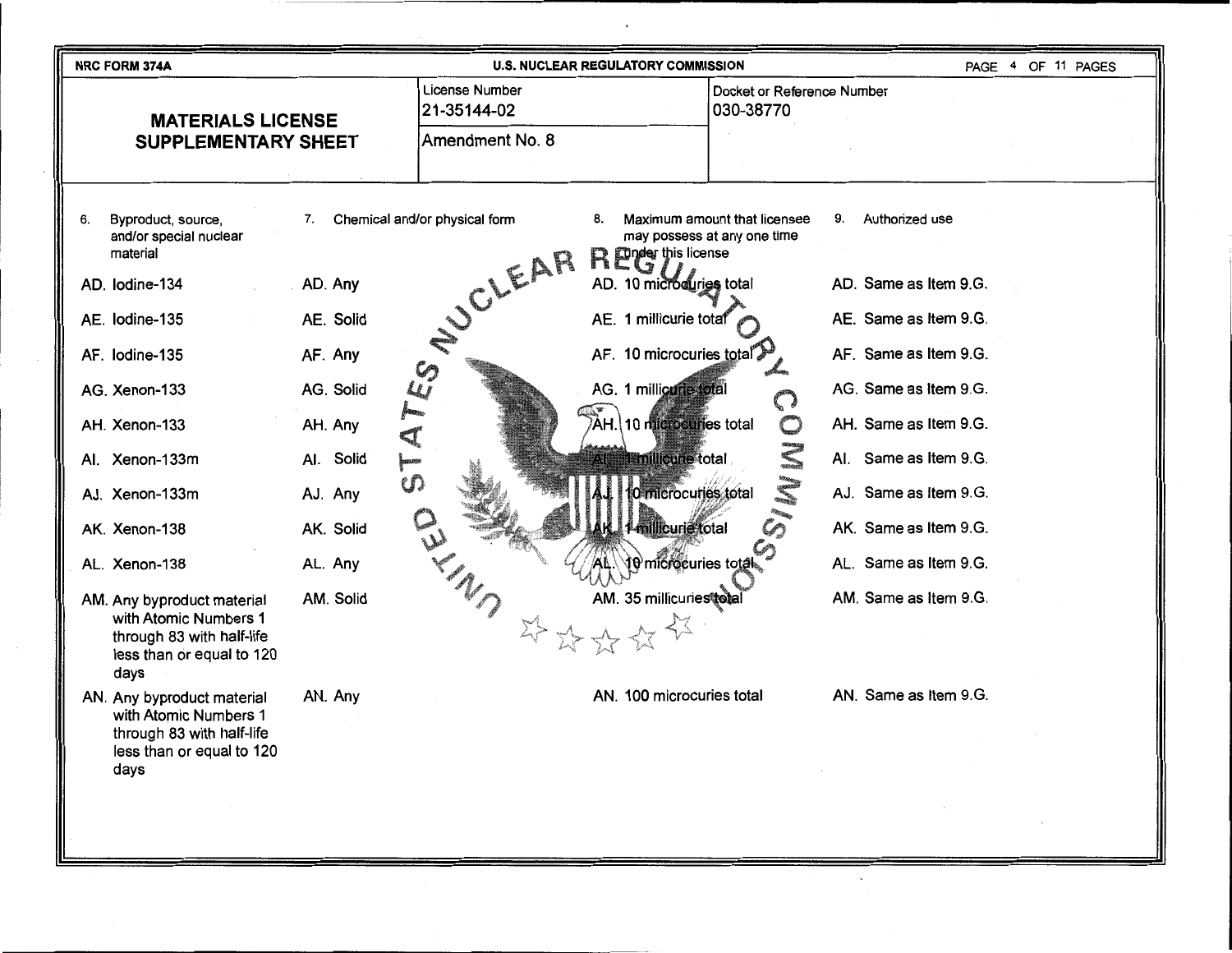| <b>NRC FORM 374A</b>                                                                                                  |                           |                                          | <b>U.S. NUCLEAR REGULATORY COMMISSION</b>       |                                                             |                       | PAGE 4 OF 11 PAGES |
|-----------------------------------------------------------------------------------------------------------------------|---------------------------|------------------------------------------|-------------------------------------------------|-------------------------------------------------------------|-----------------------|--------------------|
| <b>MATERIALS LICENSE</b>                                                                                              |                           | <b>License Number</b><br>21-35144-02     |                                                 | Docket or Reference Number<br>030-38770                     |                       |                    |
| <b>SUPPLEMENTARY SHEET</b>                                                                                            |                           | Amendment No. 8                          |                                                 |                                                             |                       |                    |
|                                                                                                                       |                           |                                          |                                                 |                                                             |                       |                    |
| Byproduct, source,<br>6.<br>and/or special nuclear<br>material                                                        | 7.                        | Chemical and/or physical form<br>SUCLEAR | 8.<br><b>Render this license</b>                | Maximum amount that licensee<br>may possess at any one time | Authorized use<br>9.  |                    |
| AD. Iodine-134                                                                                                        | AD. Any                   |                                          | AD. 10 microcuries total                        |                                                             | AD. Same as Item 9.G. |                    |
| AE. lodine-135                                                                                                        | AE. Solid                 |                                          | AE. 1 millicurie total                          |                                                             | AE. Same as Item 9.G. |                    |
| AF. lodine-135                                                                                                        | AF. Any                   |                                          | AF. 10 microcuries total                        |                                                             | AF. Same as Item 9.G. |                    |
| AG. Xenon-133                                                                                                         | AG. Solid                 | $\mathcal{L}$                            | AG. 1 millicurie total                          |                                                             | AG. Same as Item 9.G. |                    |
| AH. Xenon-133                                                                                                         | AH. Any<br>₹              |                                          | $\mathcal{\widehat{A}}$ H. 10 microcuries total |                                                             | AH. Same as Item 9.G. |                    |
| Al. Xenon-133m                                                                                                        | Al. Solid<br>i<br>I<br>ťЛ |                                          | 1 millicurie total                              |                                                             | Al. Same as Item 9.G. |                    |
| AJ. Xenon-133m                                                                                                        | AJ. Any                   |                                          | 10 microcuries total                            |                                                             | AJ. Same as Item 9.G. |                    |
| AK. Xenon-138                                                                                                         | AK. Solid                 |                                          | millicurie total                                |                                                             | AK. Same as Item 9.G. |                    |
| AL. Xenon-138                                                                                                         | AL. Any                   |                                          | रो0 microcuries total                           |                                                             | AL. Same as Item 9.G. |                    |
| AM. Any byproduct material<br>with Atomic Numbers 1<br>through 83 with half-life<br>less than or equal to 120<br>days | AM. Solid                 |                                          | AM. 35 millicuriestotal                         |                                                             | AM. Same as Item 9.G. |                    |
| AN. Any byproduct material<br>with Atomic Numbers 1<br>through 83 with half-life<br>less than or equal to 120<br>days | AN. Any                   |                                          | AN. 100 microcuries total                       |                                                             | AN. Same as Item 9.G. |                    |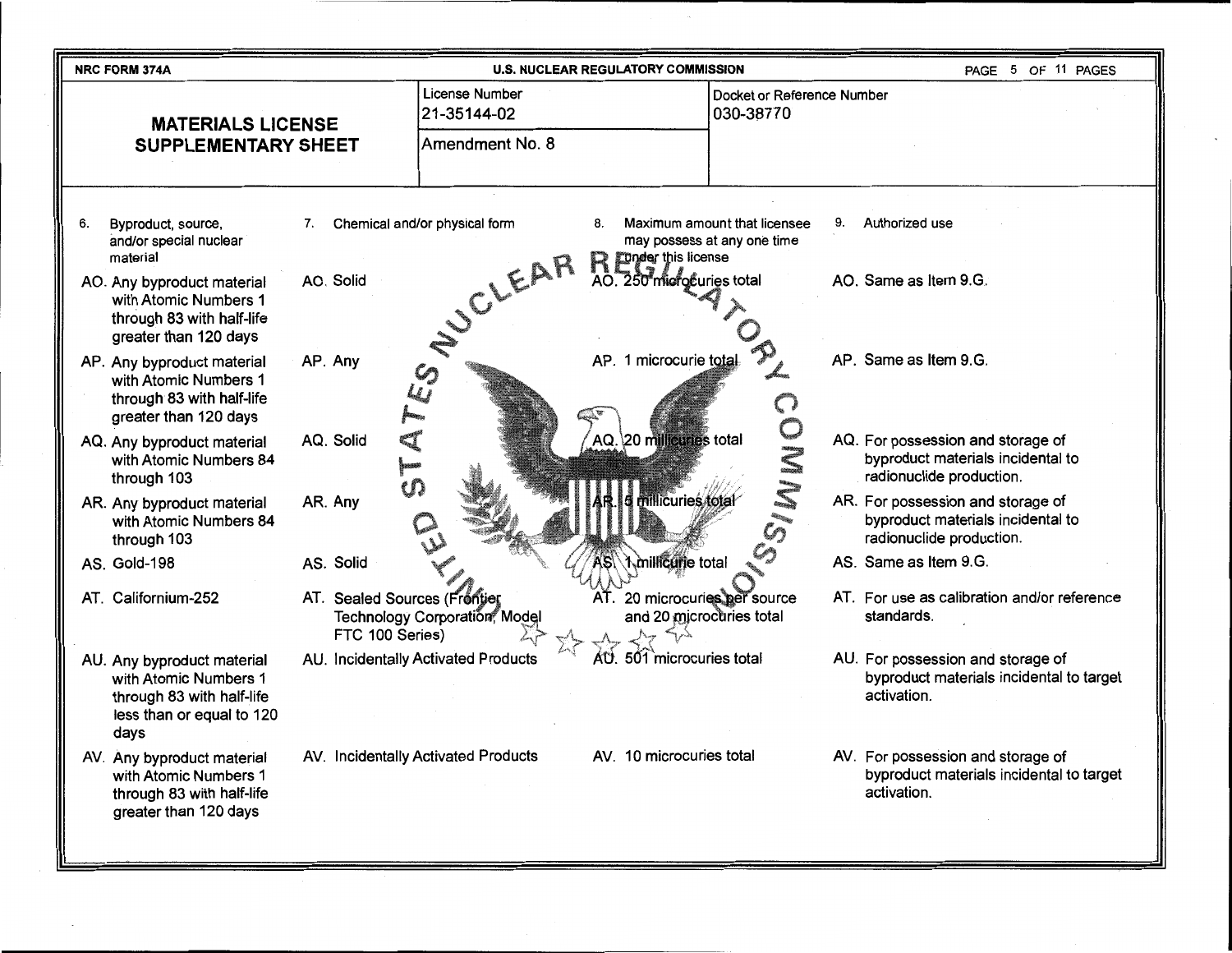| NRC FORM 374A                                                                                                          | <b>U.S. NUCLEAR REGULATORY COMMISSION</b>        |                                                                                                 | PAGE 5 OF 11 PAGES                                                                                 |
|------------------------------------------------------------------------------------------------------------------------|--------------------------------------------------|-------------------------------------------------------------------------------------------------|----------------------------------------------------------------------------------------------------|
| <b>MATERIALS LICENSE</b><br><b>SUPPLEMENTARY SHEET</b>                                                                 | License Number<br>21-35144-02<br>Amendment No. 8 | Docket or Reference Number<br>030-38770                                                         |                                                                                                    |
|                                                                                                                        |                                                  |                                                                                                 |                                                                                                    |
| Byproduct, source,<br>7.<br>6.<br>and/or special nuclear<br>material                                                   | Chemical and/or physical form<br>8.              | Maximum amount that licensee<br>9.<br>may possess at any one time<br><b>Tunder this license</b> | Authorized use                                                                                     |
| AO. Solid<br>AO. Any byproduct material<br>with Atomic Numbers 1<br>through 83 with half-life<br>greater than 120 days | SUCLEAR                                          | AO. 250 microcuries total                                                                       | AO. Same as Item 9.G.                                                                              |
| AP. Any<br>AP. Any byproduct material<br>with Atomic Numbers 1<br>through 83 with half-life<br>greater than 120 days   | <b>SP</b>                                        | AP. 1 microcurie total                                                                          | AP. Same as Item 9.G.                                                                              |
| AQ. Solid<br>AQ. Any byproduct material<br>with Atomic Numbers 84<br>through 103                                       |                                                  | OMMIS<br>AQ. 20 millicuries total                                                               | AQ. For possession and storage of<br>byproduct materials incidental to<br>radionuclide production. |
| AR. Any<br>AR. Any byproduct material<br>with Atomic Numbers 84<br>through 103                                         |                                                  | millicuries total                                                                               | AR. For possession and storage of<br>byproduct materials incidental to<br>radionuclide production. |
| AS. Solid<br>AS. Gold-198                                                                                              |                                                  | Amillicurie total                                                                               | AS. Same as Item 9.G.                                                                              |
| AT. Californium-252<br>AT. Sealed Sources (Frontier<br>FTC 100 Series)                                                 | Technology Corporation, Mode                     | AT. 20 microcuries per source<br>and 20 microcuries total                                       | AT. For use as calibration and/or reference<br>standards.                                          |
| AU. Any byproduct material<br>with Atomic Numbers 1<br>through 83 with half-life<br>less than or equal to 120<br>days  | AU. Incidentally Activated Products<br>AU.       | 501 microcuries total                                                                           | AU. For possession and storage of<br>byproduct materials incidental to target<br>activation.       |
| AV. Any byproduct material<br>with Atomic Numbers 1<br>through 83 with half-life<br>greater than 120 days              | AV. Incidentally Activated Products              | AV. 10 microcuries total                                                                        | AV. For possession and storage of<br>byproduct materials incidental to target<br>activation.       |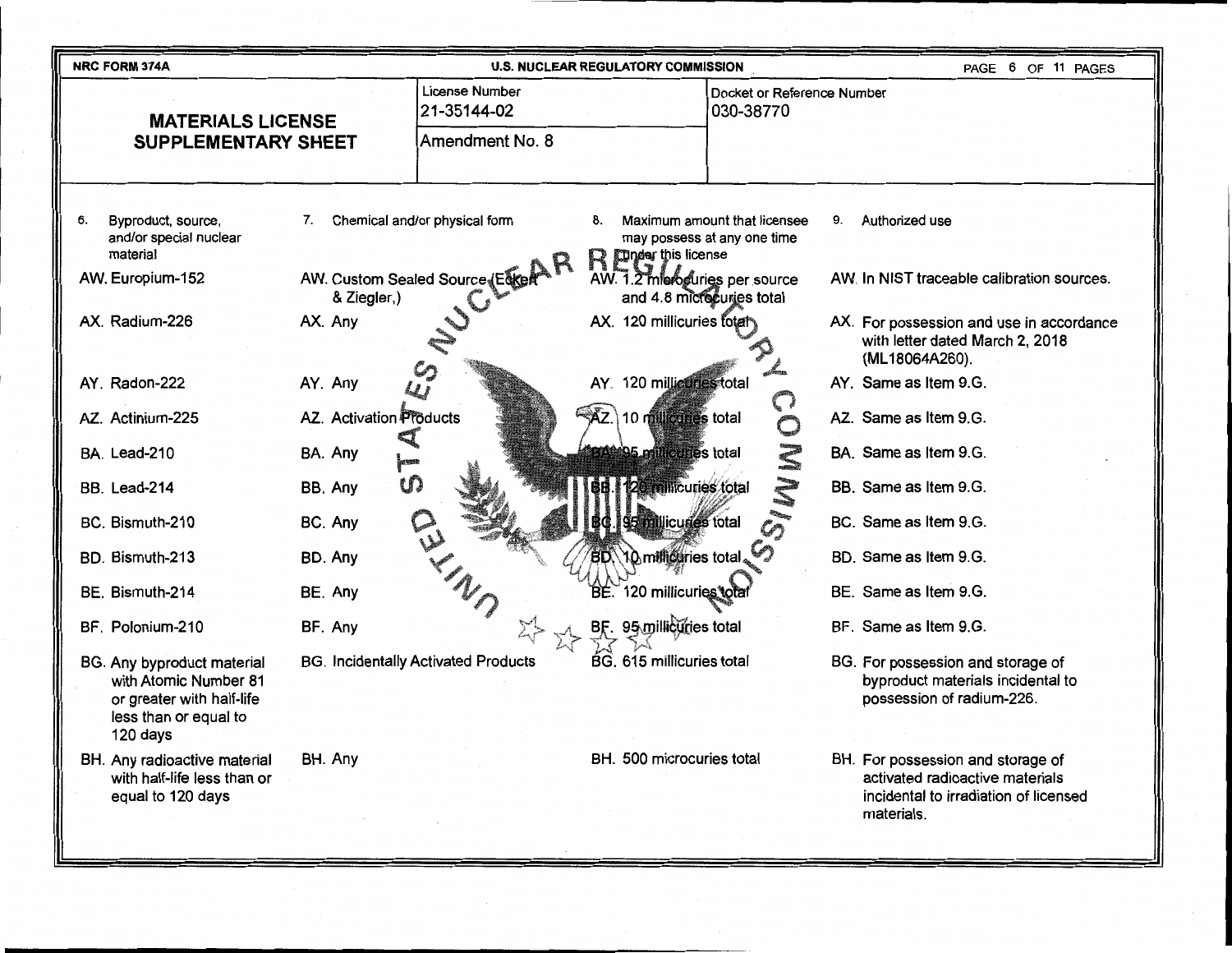| <b>NRC FORM 374A</b>                                                                                                  |                                            | <b>U.S. NUCLEAR REGULATORY COMMISSION</b>                                                             | PAGE 6 OF 11 PAGES                                                                                                          |
|-----------------------------------------------------------------------------------------------------------------------|--------------------------------------------|-------------------------------------------------------------------------------------------------------|-----------------------------------------------------------------------------------------------------------------------------|
| <b>MATERIALS LICENSE</b>                                                                                              | License Number<br>21-35144-02              | Docket or Reference Number<br>030-38770                                                               |                                                                                                                             |
| <b>SUPPLEMENTARY SHEET</b>                                                                                            | Amendment No. 8                            |                                                                                                       |                                                                                                                             |
|                                                                                                                       |                                            |                                                                                                       |                                                                                                                             |
| Byproduct, source,<br>6.<br>7.<br>and/or special nuclear<br>material                                                  | Chemical and/or physical form              | Maximum amount that licensee<br>8.<br>may possess at any one time<br><b>I under this license</b><br>R | Authorized use<br>9.                                                                                                        |
| AW. Europium-152<br>& Ziegler,)                                                                                       | AW. Custom Sealed Source (Edkert           | AW. 1.2 mieroguries per source<br>and 4.8 microcuries total                                           | AW. In NIST traceable calibration sources.                                                                                  |
| AX. Radium-226<br>AX. Any                                                                                             |                                            | AX. 120 millicuries fotal                                                                             | AX. For possession and use in accordance<br>with letter dated March 2, 2018<br>(ML18064A260).                               |
| AY. Radon-222<br>AY. Any                                                                                              |                                            | AY. 120 millionnes total<br>$\bigcap$                                                                 | AY. Same as Item 9.G.                                                                                                       |
| <b>AZ.</b> Activation <b>Products</b><br>AZ. Actinium-225                                                             |                                            | 10 millicuries total<br>AZ.<br>$\mathbb{C}$                                                           | AZ. Same as Item 9.G.                                                                                                       |
| BA. Lead-210<br>BA. Any                                                                                               |                                            | 95 millicuries total                                                                                  | BA. Same as Item 9.G.                                                                                                       |
| BB. Any<br>BB. Lead-214                                                                                               | w                                          | 20 millicuries total                                                                                  | BB. Same as Item 9.G.                                                                                                       |
| BC. Bismuth-210<br>BC. Any                                                                                            |                                            | 95 millicuries total                                                                                  | BC. Same as Item 9.G.                                                                                                       |
| BD. Bismuth-213<br>BD. Any                                                                                            |                                            | BD 10 millicuries total.                                                                              | BD. Same as Item 9.G.                                                                                                       |
| BE. Bismuth-214<br>BE. Any                                                                                            |                                            | BÉ. 120 millicuries total                                                                             | BE. Same as Item 9.G.                                                                                                       |
| BF. Polonium-210<br>BF. Any                                                                                           |                                            | 95 millicuries total                                                                                  | BF. Same as Item 9.G.                                                                                                       |
| BG. Any byproduct material<br>with Atomic Number 81<br>or greater with half-life<br>less than or equal to<br>120 days | <b>BG. Incidentally Activated Products</b> | BG. 615 millicuries total                                                                             | BG. For possession and storage of<br>byproduct materials incidental to<br>possession of radium-226.                         |
| BH. Any<br>BH. Any radioactive material<br>with half-life less than or<br>equal to 120 days                           |                                            | BH. 500 microcuries total                                                                             | BH. For possession and storage of<br>activated radioactive materials<br>incidental to irradiation of licensed<br>materials. |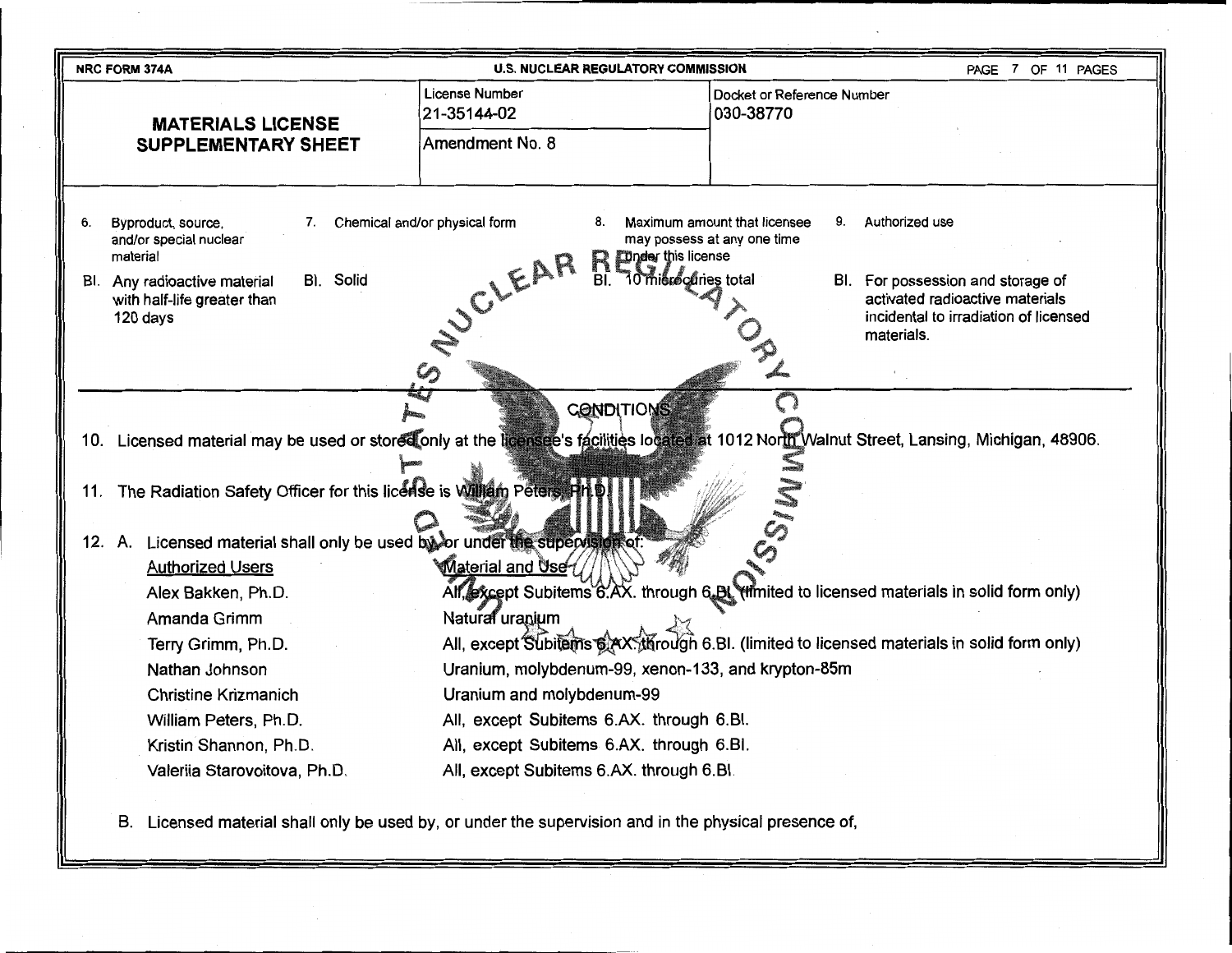| <b>NRC FORM 374A</b>                                                                                                                                                                                                    | <b>U.S. NUCLEAR REGULATORY COMMISSION</b>                                                                                                                                                                                                                                                                              | 7 OF 11 PAGES<br>PAGE                                                                                                                                                                                                 |  |  |  |  |
|-------------------------------------------------------------------------------------------------------------------------------------------------------------------------------------------------------------------------|------------------------------------------------------------------------------------------------------------------------------------------------------------------------------------------------------------------------------------------------------------------------------------------------------------------------|-----------------------------------------------------------------------------------------------------------------------------------------------------------------------------------------------------------------------|--|--|--|--|
| <b>MATERIALS LICENSE</b>                                                                                                                                                                                                | License Number<br>21-35144-02                                                                                                                                                                                                                                                                                          | Docket or Reference Number<br>030-38770                                                                                                                                                                               |  |  |  |  |
| <b>SUPPLEMENTARY SHEET</b>                                                                                                                                                                                              | Amendment No. 8                                                                                                                                                                                                                                                                                                        |                                                                                                                                                                                                                       |  |  |  |  |
| Byproduct, source,<br>6.<br>7.<br>and/or special nuclear<br>material<br>BI. Solid<br>BI. Any radioactive material<br>with half-life greater than<br>120 days                                                            | Chemical and/or physical form<br>8.<br><b>Dinder this license</b><br>R<br>SUCLEAR<br>BI.<br>10 mierconies total                                                                                                                                                                                                        | Maximum amount that licensee<br>9.<br>Authorized use<br>may possess at any one time<br>For possession and storage of<br>BI.<br>activated radioactive materials<br>incidental to irradiation of licensed<br>materials. |  |  |  |  |
| 11.                                                                                                                                                                                                                     | <b>CONDITIONS</b><br>10. Licensed material may be used or stored only at the licensee's facilities located at 1012 North Walnut Street, Lansing, Michigan, 48906.<br>The Radiation Safety Officer for this license is William Peters, HH<br>12. A. Licensed material shall only be used by or under the supervision of |                                                                                                                                                                                                                       |  |  |  |  |
| <b>Authorized Users</b><br>Alex Bakken, Ph.D.<br>Amanda Grimm<br>Terry Grimm, Ph.D.<br>Nathan Johnson<br><b>Christine Krizmanich</b><br>William Peters, Ph.D.<br>Kristin Shannon, Ph.D.<br>Valeriia Starovoitova, Ph.D. | Material and Use-<br>Natural uranium<br>Uranium, molybdenum-99, xenon-133, and krypton-85m<br>Uranium and molybdenum-99<br>All, except Subitems 6.AX. through 6.Bl.<br>All, except Subitems 6.AX. through 6.Bl.<br>All, except Subitems 6.AX. through 6.Bl.                                                            | All, except Subitems 6.AX. through 6.BL (limited to licensed materials in solid form only)<br>All, except Subitems 6 AX, through 6.Bl. (limited to licensed materials in solid form only)                             |  |  |  |  |

B. Licensed material shall only be used by, or under the supervision and in the physical presence of,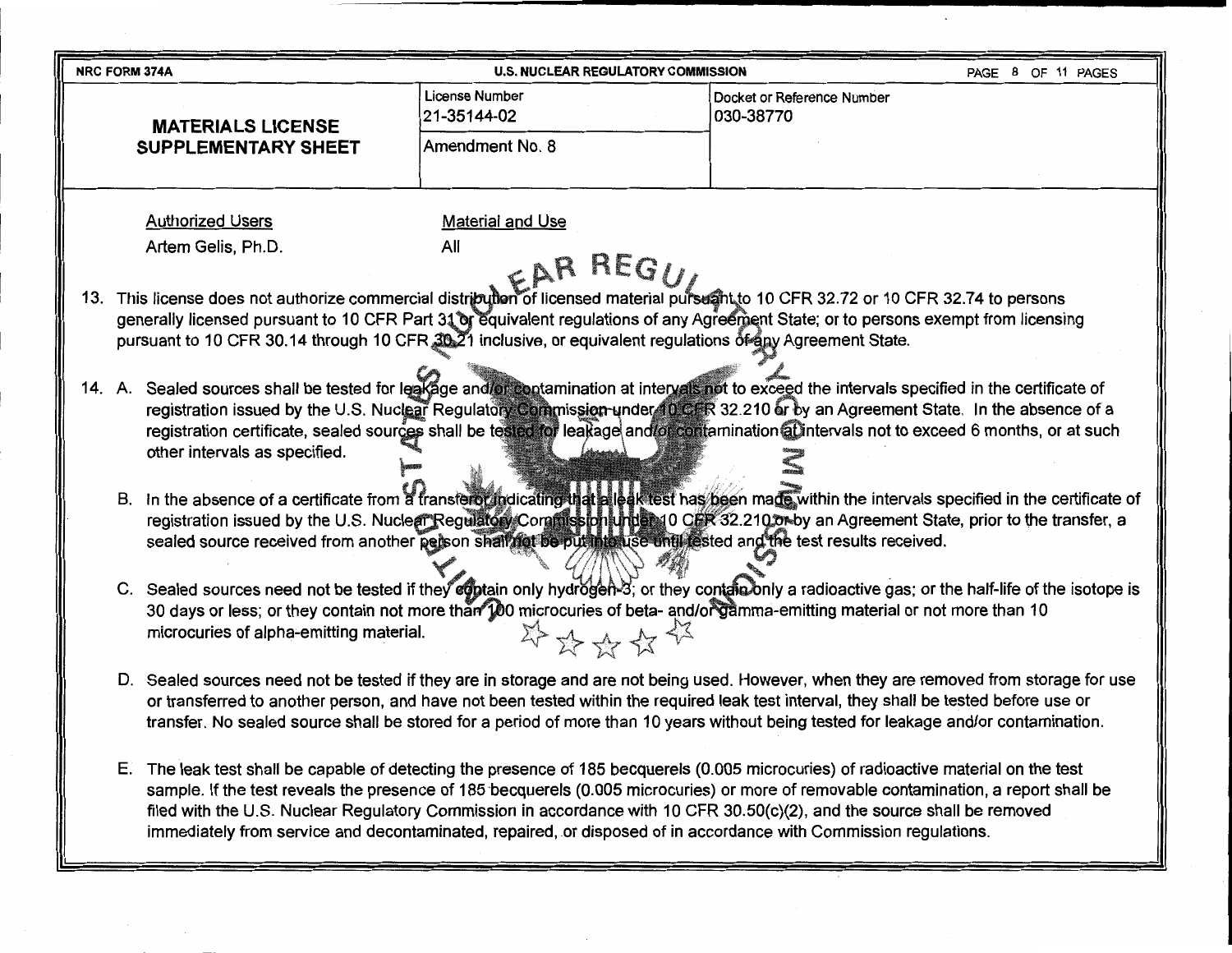| NRC FORM 374A                                                                                                                                                                                                                                                                                                                                                                                                                                                                                                                                                                                                                                                                                                                                                                                                                                                                                                                                                                                                                                                                                                                                                                                                                                                                                                                                                                                                                                                                                                                                                                                                                                                                                                                                                                                                                                                                                                                                                                                                                                                                                                                                                                                                                                                                                                                                                                                                                                                                                                                                                                                                                         | <b>U.S. NUCLEAR REGULATORY COMMISSION</b>        |                                         | PAGE 8 OF 11 PAGES |
|---------------------------------------------------------------------------------------------------------------------------------------------------------------------------------------------------------------------------------------------------------------------------------------------------------------------------------------------------------------------------------------------------------------------------------------------------------------------------------------------------------------------------------------------------------------------------------------------------------------------------------------------------------------------------------------------------------------------------------------------------------------------------------------------------------------------------------------------------------------------------------------------------------------------------------------------------------------------------------------------------------------------------------------------------------------------------------------------------------------------------------------------------------------------------------------------------------------------------------------------------------------------------------------------------------------------------------------------------------------------------------------------------------------------------------------------------------------------------------------------------------------------------------------------------------------------------------------------------------------------------------------------------------------------------------------------------------------------------------------------------------------------------------------------------------------------------------------------------------------------------------------------------------------------------------------------------------------------------------------------------------------------------------------------------------------------------------------------------------------------------------------------------------------------------------------------------------------------------------------------------------------------------------------------------------------------------------------------------------------------------------------------------------------------------------------------------------------------------------------------------------------------------------------------------------------------------------------------------------------------------------------|--------------------------------------------------|-----------------------------------------|--------------------|
| <b>MATERIALS LICENSE</b><br><b>SUPPLEMENTARY SHEET</b>                                                                                                                                                                                                                                                                                                                                                                                                                                                                                                                                                                                                                                                                                                                                                                                                                                                                                                                                                                                                                                                                                                                                                                                                                                                                                                                                                                                                                                                                                                                                                                                                                                                                                                                                                                                                                                                                                                                                                                                                                                                                                                                                                                                                                                                                                                                                                                                                                                                                                                                                                                                | License Number<br>21-35144-02<br>Amendment No. 8 | Docket or Reference Number<br>030-38770 |                    |
| <b>Authorized Users</b><br>All<br>Artem Gelis, Ph.D.<br>This license does not authorize commercial distribution of licensed material pursuant to 10 CFR 32.72 or 10 CFR 32.74 to persons<br>13.<br>generally licensed pursuant to 10 CFR Part 31 or equivalent regulations of any Agreement State; or to persons exempt from licensing<br>pursuant to 10 CFR 30.14 through 10 CFR 30-21 inclusive, or equivalent regulations of any Agreement State.<br>14. A. Sealed sources shall be tested for leakage and/or contamination at intervals not to exceed the intervals specified in the certificate of<br>registration issued by the U.S. Nuclear Regulatory Commission under 10 CFR 32.210 or by an Agreement State. In the absence of a<br>registration certificate, sealed sources shall be tested for leakage and/or contamination at intervals not to exceed 6 months, or at such<br>other intervals as specified.<br>B. In the absence of a certificate from a transferor indicating that alleak test has been made within the intervals specified in the certificate of<br>registration issued by the U.S. Nuclear Regulatory Commission under 10 CER 32.210 or by an Agreement State, prior to the transfer, a<br>sealed source received from another person shall not be put into use until rested and the test results received.<br>C. Sealed sources need not be tested if they egotain only hydrogen-3; or they contain only a radioactive gas; or the half-life of the isotope is<br>30 days or less; or they contain not more than 100 microcuries of beta- and/or gamma-emitting material or not more than 10<br>microcuries of alpha-emitting material.<br>D. Sealed sources need not be tested if they are in storage and are not being used. However, when they are removed from storage for use<br>or transferred to another person, and have not been tested within the required leak test interval, they shall be tested before use or<br>transfer. No sealed source shall be stored for a period of more than 10 years without being tested for leakage and/or contamination.<br>E. The leak test shall be capable of detecting the presence of 185 becquerels (0.005 microcuries) of radioactive material on the test<br>sample. If the test reveals the presence of 185 becquerels (0.005 microcuries) or more of removable contamination, a report shall be<br>filed with the U.S. Nuclear Regulatory Commission in accordance with 10 CFR 30.50(c)(2), and the source shall be removed<br>immediately from service and decontaminated, repaired, or disposed of in accordance with Commission regulations. | <b>Material and Use</b><br>RARREGU<br>学路安台书      |                                         |                    |

 $\label{eq:2.1} \frac{d\mathbf{r}}{d\mathbf{r}} = \frac{1}{2} \left( \frac{d\mathbf{r}}{d\mathbf{r}} \right) \mathbf{r}$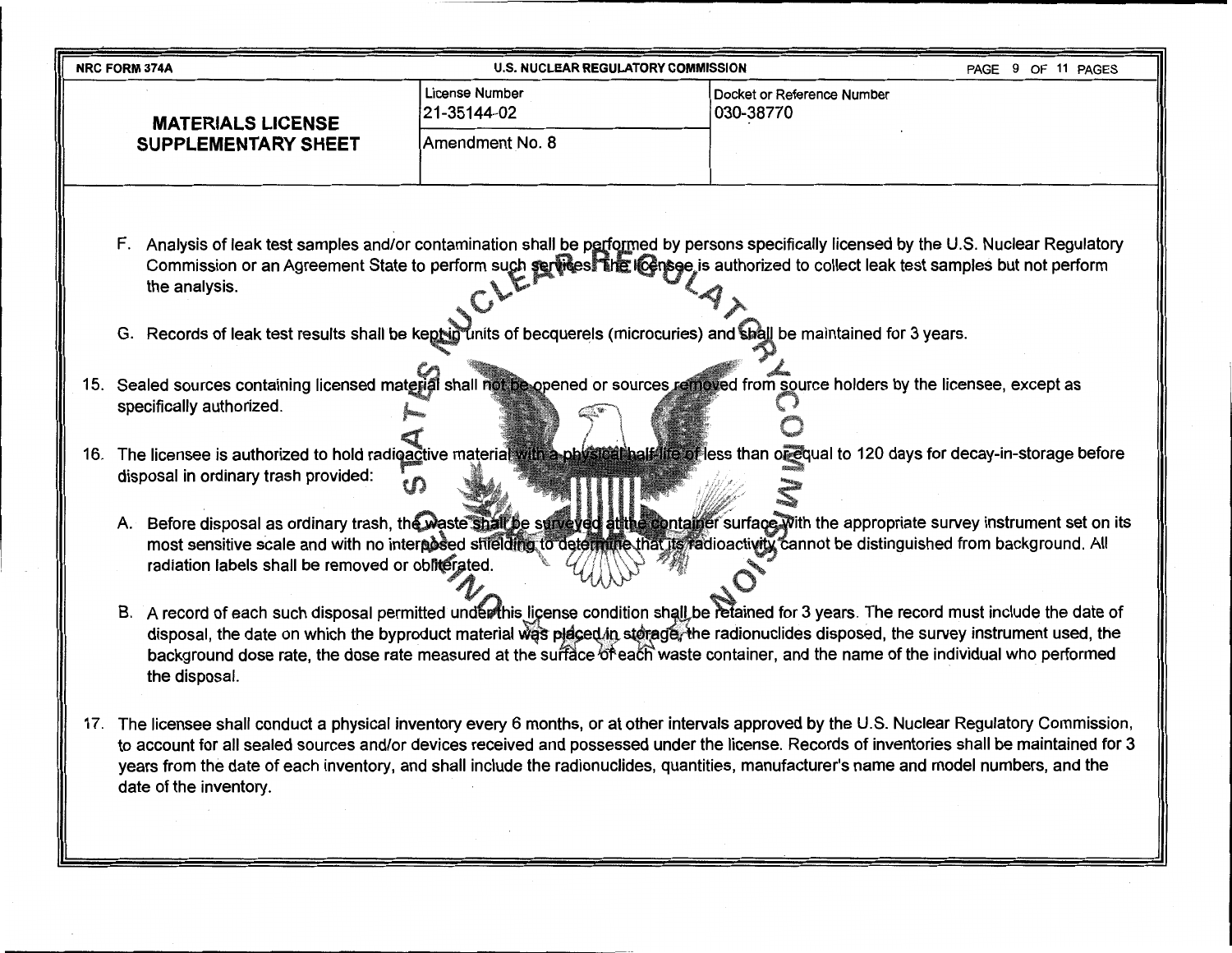| <b>NRC FORM 374A</b>                                                                                                                                                              | <b>U.S. NUCLEAR REGULATORY COMMISSION</b> | PAGE 9 OF 11 PAGES                                                                                                                                                                                                                                                                                                                                                                                                                                                                                                                                                                                                                                                                                                                                                                                                                                                                                                                                                                                                                                                                                                                                                                                                                                                                                                                                                                                                                                                                                                                                                                                                                                                                                                                                                                                                                                                      |
|-----------------------------------------------------------------------------------------------------------------------------------------------------------------------------------|-------------------------------------------|-------------------------------------------------------------------------------------------------------------------------------------------------------------------------------------------------------------------------------------------------------------------------------------------------------------------------------------------------------------------------------------------------------------------------------------------------------------------------------------------------------------------------------------------------------------------------------------------------------------------------------------------------------------------------------------------------------------------------------------------------------------------------------------------------------------------------------------------------------------------------------------------------------------------------------------------------------------------------------------------------------------------------------------------------------------------------------------------------------------------------------------------------------------------------------------------------------------------------------------------------------------------------------------------------------------------------------------------------------------------------------------------------------------------------------------------------------------------------------------------------------------------------------------------------------------------------------------------------------------------------------------------------------------------------------------------------------------------------------------------------------------------------------------------------------------------------------------------------------------------------|
| <b>MATERIALS LICENSE</b>                                                                                                                                                          | <b>License Number</b><br>21-35144-02      | Docket or Reference Number<br>030-38770                                                                                                                                                                                                                                                                                                                                                                                                                                                                                                                                                                                                                                                                                                                                                                                                                                                                                                                                                                                                                                                                                                                                                                                                                                                                                                                                                                                                                                                                                                                                                                                                                                                                                                                                                                                                                                 |
| <b>SUPPLEMENTARY SHEET</b>                                                                                                                                                        | Amendment No. 8                           |                                                                                                                                                                                                                                                                                                                                                                                                                                                                                                                                                                                                                                                                                                                                                                                                                                                                                                                                                                                                                                                                                                                                                                                                                                                                                                                                                                                                                                                                                                                                                                                                                                                                                                                                                                                                                                                                         |
| the analysis.<br>specifically authorized.<br>disposal in ordinary trash provided:<br>radiation labels shall be removed or obliterated.<br>the disposal.<br>date of the inventory. |                                           | F. Analysis of leak test samples and/or contamination shall be performed by persons specifically licensed by the U.S. Nuclear Regulatory<br>Commission or an Agreement State to perform such services The Icensee is authorized to collect leak test samples but not perform<br>G. Records of leak test results shall be kept in units of becquerels (microcuries) and shall be maintained for 3 years.<br>15. Sealed sources containing licensed material shall not be opened or sources removed from source holders by the licensee, except as<br>16. The licensee is authorized to hold radioactive material with a physical half life of less than or equal to 120 days for decay-in-storage before<br>A. Before disposal as ordinary trash, the waste shall be surveyed atthe container surface with the appropriate survey instrument set on its<br>most sensitive scale and with no interposed shielding to determine that its radioactivity cannot be distinguished from background. All<br>B. A record of each such disposal permitted under this license condition shall be retained for 3 years. The record must include the date of<br>disposal, the date on which the byproduct material was placed in sterage, the radionuclides disposed, the survey instrument used, the<br>background dose rate, the dose rate measured at the sufface of each waste container, and the name of the individual who performed<br>17. The licensee shall conduct a physical inventory every 6 months, or at other intervals approved by the U.S. Nuclear Regulatory Commission,<br>to account for all sealed sources and/or devices received and possessed under the license. Records of inventories shall be maintained for 3<br>years from the date of each inventory, and shall include the radionuclides, quantities, manufacturer's name and model numbers, and the |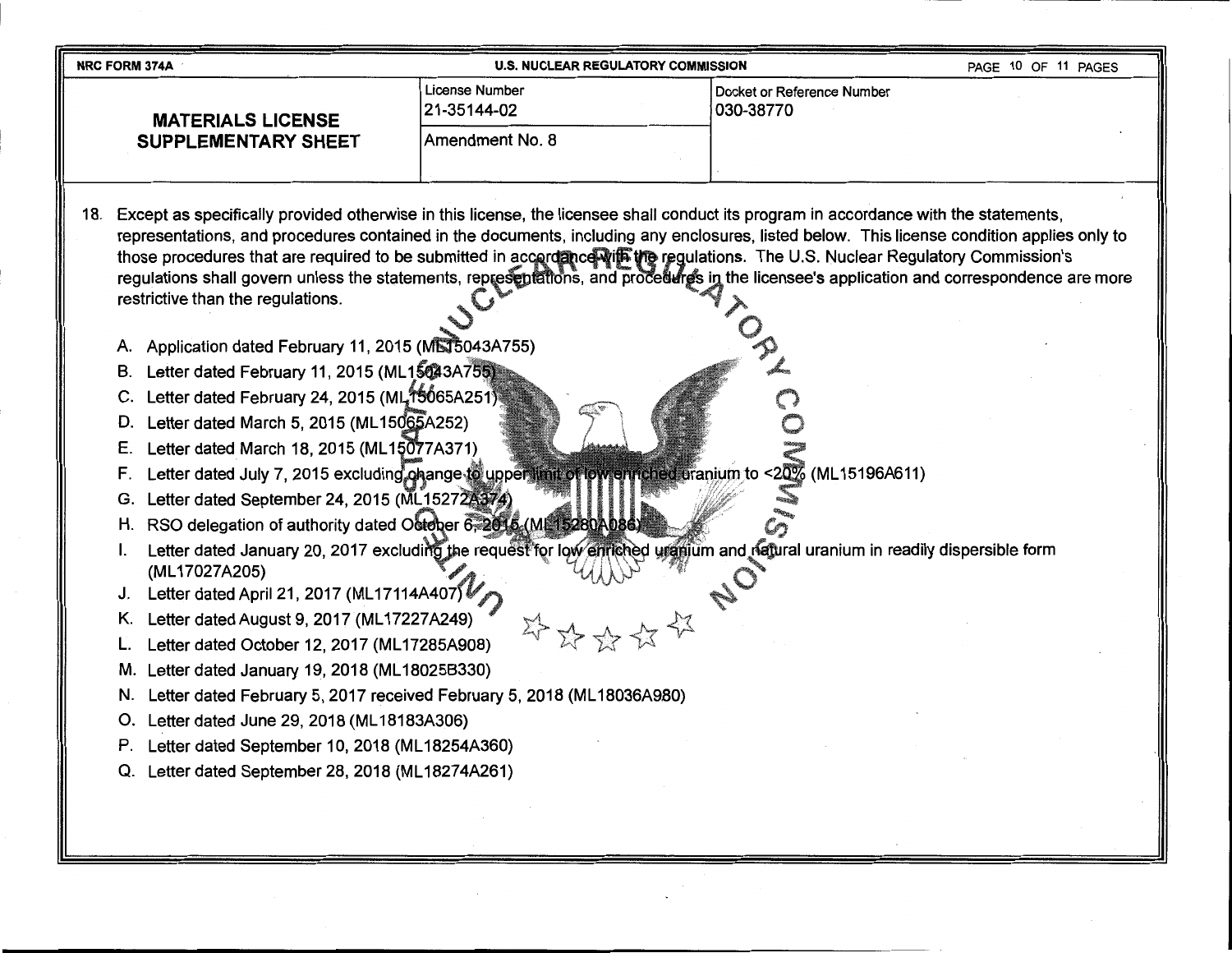| <b>NRC FORM 374A</b>                                                                                                                                                                                                                                                                                                                                                                                                                                                                                                                                                                                                                                                                                                                                                                                                                            | <b>U.S. NUCLEAR REGULATORY COMMISSION</b>                                                                | PAGE 10 OF 11 PAGES                                                                                                                                                                                                                                                                                                                                                                                                                                                                                                                                                                                                                                                                                    |
|-------------------------------------------------------------------------------------------------------------------------------------------------------------------------------------------------------------------------------------------------------------------------------------------------------------------------------------------------------------------------------------------------------------------------------------------------------------------------------------------------------------------------------------------------------------------------------------------------------------------------------------------------------------------------------------------------------------------------------------------------------------------------------------------------------------------------------------------------|----------------------------------------------------------------------------------------------------------|--------------------------------------------------------------------------------------------------------------------------------------------------------------------------------------------------------------------------------------------------------------------------------------------------------------------------------------------------------------------------------------------------------------------------------------------------------------------------------------------------------------------------------------------------------------------------------------------------------------------------------------------------------------------------------------------------------|
| <b>MATERIALS LICENSE</b>                                                                                                                                                                                                                                                                                                                                                                                                                                                                                                                                                                                                                                                                                                                                                                                                                        | License Number<br>21-35144-02                                                                            | Docket or Reference Number<br>030-38770                                                                                                                                                                                                                                                                                                                                                                                                                                                                                                                                                                                                                                                                |
| <b>SUPPLEMENTARY SHEET</b>                                                                                                                                                                                                                                                                                                                                                                                                                                                                                                                                                                                                                                                                                                                                                                                                                      | Amendment No. 8                                                                                          |                                                                                                                                                                                                                                                                                                                                                                                                                                                                                                                                                                                                                                                                                                        |
| restrictive than the regulations.<br>A. Application dated February 11, 2015 (MS15043A755)<br>B. Letter dated February 11, 2015 (ML15043A755)<br>Letter dated February 24, 2015 (ML,15065A251)<br>C.<br>Letter dated March 5, 2015 (ML15065A252)<br>D.<br>Letter dated March 18, 2015 (ML15077A371)<br>Е.<br>F.<br>Letter dated September 24, 2015 (ML15272A374)<br>G.<br>H. RSO delegation of authority dated October 6, 2015 (ML15280A086)<br>(ML17027A205)<br>J. Letter dated April 21, 2017 (ML17114A407)<br>Letter dated August 9, 2017 (ML17227A249)<br>Κ.<br>Letter dated October 12, 2017 (ML17285A908)<br>M. Letter dated January 19, 2018 (ML18025B330)<br>N. Letter dated February 5, 2017 received February 5, 2018 (ML18036A980)<br>O. Letter dated June 29, 2018 (ML18183A306)<br>P. Letter dated September 10, 2018 (ML18254A360) | Letter dated July 7, 2015 excluding on angesto upper limit of low enriched uranium to <20% (ML15196A611) | 18. Except as specifically provided otherwise in this license, the licensee shall conduct its program in accordance with the statements,<br>representations, and procedures contained in the documents, including any enclosures, listed below. This license condition applies only to<br>those procedures that are required to be submitted in accordance wife the regulations. The U.S. Nuclear Regulatory Commission's<br>regulations shall govern unless the statements, representations, and procedures in the licensee's application and correspondence are more<br>Letter dated January 20, 2017 excluding the request for low entiched uranium and natural uranium in readily dispersible form |
| Q. Letter dated September 28, 2018 (ML18274A261)                                                                                                                                                                                                                                                                                                                                                                                                                                                                                                                                                                                                                                                                                                                                                                                                |                                                                                                          |                                                                                                                                                                                                                                                                                                                                                                                                                                                                                                                                                                                                                                                                                                        |